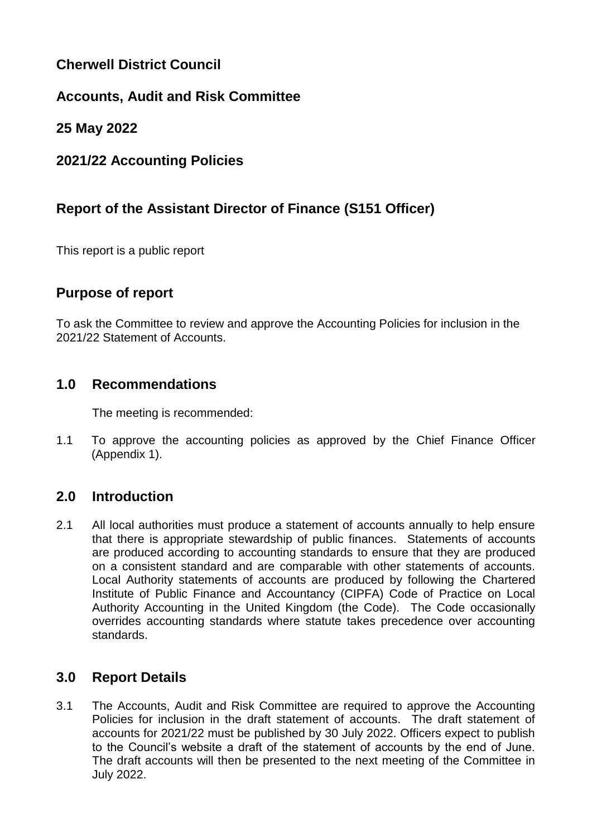# **Cherwell District Council**

# **Accounts, Audit and Risk Committee**

# **25 May 2022**

# **2021/22 Accounting Policies**

# **Report of the Assistant Director of Finance (S151 Officer)**

This report is a public report

### **Purpose of report**

To ask the Committee to review and approve the Accounting Policies for inclusion in the 2021/22 Statement of Accounts.

### **1.0 Recommendations**

The meeting is recommended:

1.1 To approve the accounting policies as approved by the Chief Finance Officer (Appendix 1).

# **2.0 Introduction**

2.1 All local authorities must produce a statement of accounts annually to help ensure that there is appropriate stewardship of public finances. Statements of accounts are produced according to accounting standards to ensure that they are produced on a consistent standard and are comparable with other statements of accounts. Local Authority statements of accounts are produced by following the Chartered Institute of Public Finance and Accountancy (CIPFA) Code of Practice on Local Authority Accounting in the United Kingdom (the Code). The Code occasionally overrides accounting standards where statute takes precedence over accounting standards.

# **3.0 Report Details**

3.1 The Accounts, Audit and Risk Committee are required to approve the Accounting Policies for inclusion in the draft statement of accounts. The draft statement of accounts for 2021/22 must be published by 30 July 2022. Officers expect to publish to the Council's website a draft of the statement of accounts by the end of June. The draft accounts will then be presented to the next meeting of the Committee in July 2022.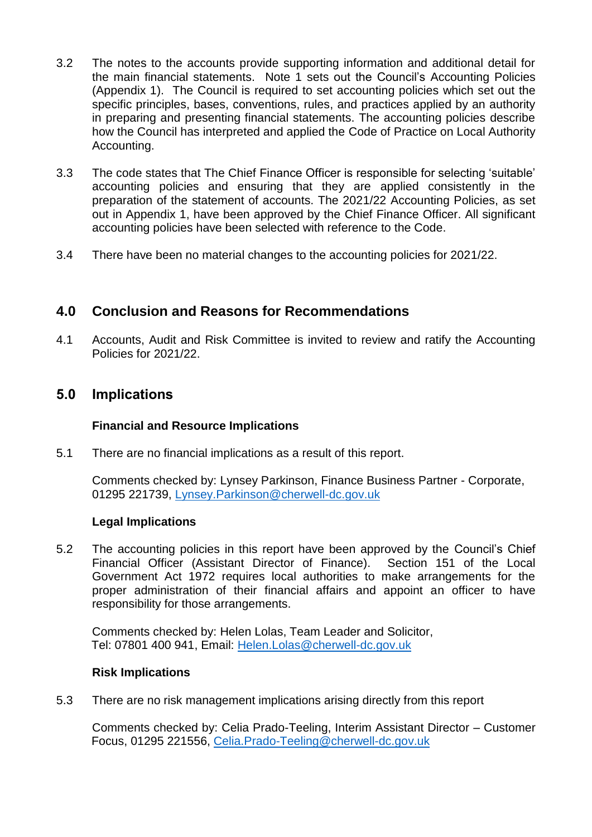- 3.2 The notes to the accounts provide supporting information and additional detail for the main financial statements. Note 1 sets out the Council's Accounting Policies (Appendix 1). The Council is required to set accounting policies which set out the specific principles, bases, conventions, rules, and practices applied by an authority in preparing and presenting financial statements. The accounting policies describe how the Council has interpreted and applied the Code of Practice on Local Authority Accounting.
- 3.3 The code states that The Chief Finance Officer is responsible for selecting 'suitable' accounting policies and ensuring that they are applied consistently in the preparation of the statement of accounts. The 2021/22 Accounting Policies, as set out in Appendix 1, have been approved by the Chief Finance Officer. All significant accounting policies have been selected with reference to the Code.
- 3.4 There have been no material changes to the accounting policies for 2021/22.

### **4.0 Conclusion and Reasons for Recommendations**

4.1 Accounts, Audit and Risk Committee is invited to review and ratify the Accounting Policies for 2021/22.

### **5.0 Implications**

#### **Financial and Resource Implications**

5.1 There are no financial implications as a result of this report.

Comments checked by: Lynsey Parkinson, Finance Business Partner - Corporate, 01295 221739, [Lynsey.Parkinson@cherwell-dc.gov.uk](mailto:Lynsey.Parkinson@cherwell-dc.gov.uk)

#### **Legal Implications**

5.2 The accounting policies in this report have been approved by the Council's Chief Financial Officer (Assistant Director of Finance). Section 151 of the Local Government Act 1972 requires local authorities to make arrangements for the proper administration of their financial affairs and appoint an officer to have responsibility for those arrangements.

Comments checked by: Helen Lolas, Team Leader and Solicitor, Tel: 07801 400 941, Email: [Helen.Lolas@cherwell-dc.gov.uk](mailto:Helen.Lolas@cherwell-dc.gov.uk)

#### **Risk Implications**

5.3 There are no risk management implications arising directly from this report

Comments checked by: Celia Prado-Teeling, Interim Assistant Director – Customer Focus, 01295 221556, [Celia.Prado-Teeling@cherwell-dc.gov.uk](mailto:Celia.Prado-Teeling@cherwell-dc.gov.uk)